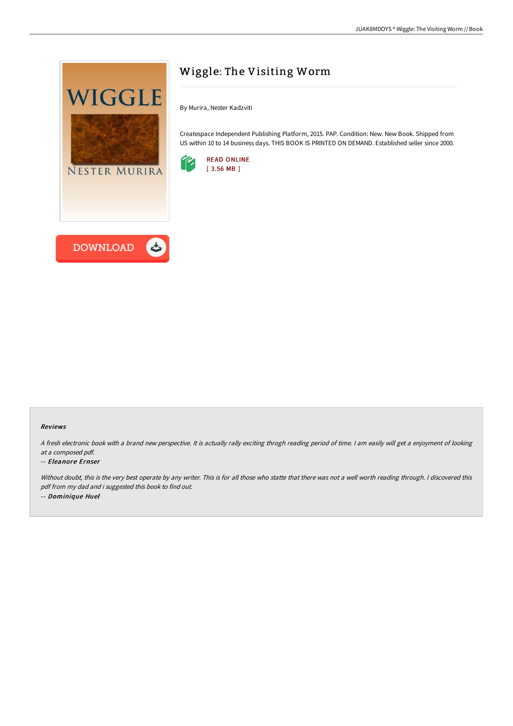

# Wiggle: The Visiting Worm

By Murira, Nester Kadzviti

Createspace Independent Publishing Platform, 2015. PAP. Condition: New. New Book. Shipped from US within 10 to 14 business days. THIS BOOK IS PRINTED ON DEMAND. Established seller since 2000.



#### Reviews

<sup>A</sup> fresh electronic book with <sup>a</sup> brand new perspective. It is actually rally exciting throgh reading period of time. <sup>I</sup> am easily will get <sup>a</sup> enjoyment of looking at <sup>a</sup> composed pdf.

#### -- Eleanore Ernser

Without doubt, this is the very best operate by any writer. This is for all those who statte that there was not a well worth reading through. I discovered this pdf from my dad and i suggested this book to find out. -- Dominique Huel